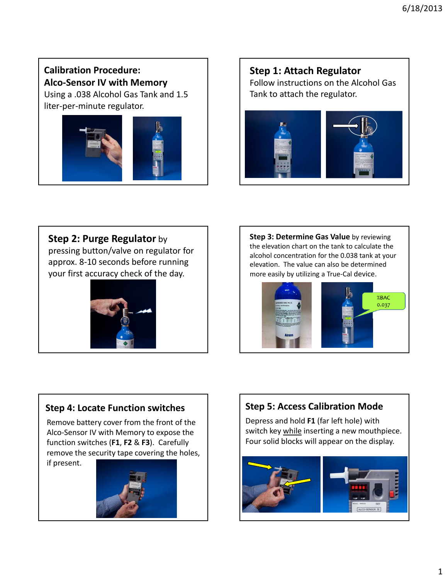**Calibration Procedure: Alco‐Sensor IV with Memory**

Using a .038 Alcohol Gas Tank and 1.5 liter‐per‐minute regulator.



**Step 1: Attach Regulator** Follow instructions on the Alcohol Gas Tank to attach the regulator.



# **Step 2: Purge Regulator** by

pressing button/valve on regulator for approx. 8‐10 seconds before running your first accuracy check of the day.



**Step 3: Determine Gas Value** by reviewing the elevation chart on the tank to calculate the alcohol concentration for the 0.038 tank at your elevation. The value can also be determined more easily by utilizing a True‐Cal device.



# **Step 4: Locate Function switches**

Remove battery cover from the front of the Alco‐Sensor IV with Memory to expose the function switches (**F1**, **F2** & **F3**). Carefully remove the security tape covering the holes,

if present.



# **Step 5: Access Calibration Mode**

Depress and hold **F1** (far left hole) with switch key while inserting a new mouthpiece. Four solid blocks will appear on the display.

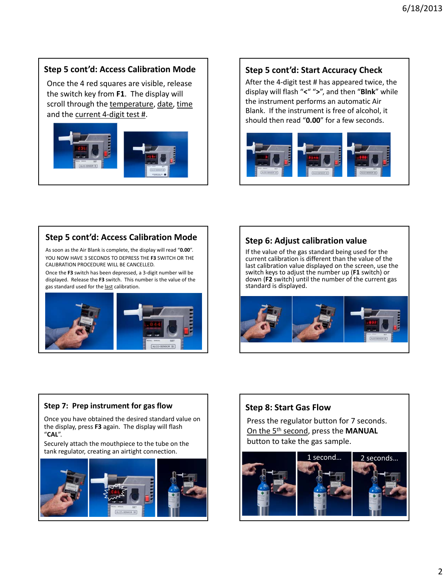## **Step 5 cont'd: Access Calibration Mode**

Once the 4 red squares are visible, release the switch key from **F1**. The display will scroll through the temperature, date, time and the current 4‐digit test #.



### **Step 5 cont'd: Start Accuracy Check**

After the 4‐digit test # has appeared twice, the display will flash "**<**" "**>**", and then "**Blnk**" while the instrument performs an automatic Air Blank. If the instrument is free of alcohol, it should then read "**0.00**" for a few seconds.



## **Step 5 cont'd: Access Calibration Mode**

As soon as the Air Blank is complete, the display will read "**0.00**". YOU NOW HAVE 3 SECONDS TO DEPRESS THE **F3** SWITCH OR THE CALIBRATION PROCEDURE WILL BE CANCELLED.

Once the **F3** switch has been depressed, a 3‐digit number will be displayed. Release the **F3** switch. This number is the value of the gas standard used for the last calibration.



#### **Step 6: Adjust calibration value**

If the value of the gas standard being used for the current calibration is different than the value of the last calibration value displayed on the screen, use the switch keys to adjust the number up (**F1** switch) or down (**F2** switch) until the number of the current gas standard is displayed.



#### **Step 7: Prep instrument for gas flow**

Once you have obtained the desired standard value on the display, press **F3** again. The display will flash "**CAL**".

Securely attach the mouthpiece to the tube on the tank regulator, creating an airtight connection.



### **Step 8: Start Gas Flow**

Press the regulator button for 7 seconds. On the 5th second, press the **MANUAL** button to take the gas sample.

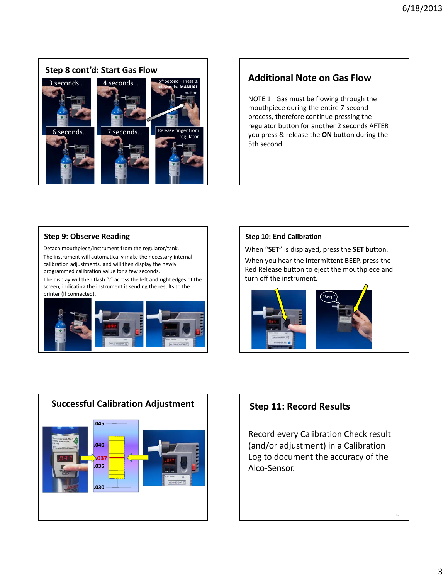

# **Additional Note on Gas Flow**

NOTE 1: Gas must be flowing through the mouthpiece during the entire 7‐second process, therefore continue pressing the regulator button for another 2 seconds AFTER you press & release the **ON** button during the 5th second.

#### **Step 9: Observe Reading**

Detach mouthpiece/instrument from the regulator/tank. The instrument will automatically make the necessary internal calibration adjustments, and will then display the newly programmed calibration value for a few seconds.

The display will then flash "**.**" across the left and right edges of the screen, indicating the instrument is sending the results to the printer (if connected).



#### **Step 10: End Calibration**

When "**SET**" is displayed, press the **SET** button.

When you hear the intermittent BEEP, press the Red Release button to eject the mouthpiece and turn off the instrument.





Record every Calibration Check result (and/or adjustment) in a Calibration Log to document the accuracy of the Alco‐Sensor.

18